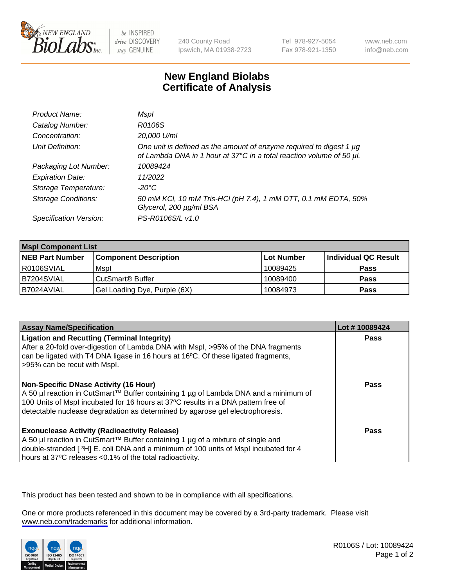

be INSPIRED drive DISCOVERY stay GENUINE

240 County Road Ipswich, MA 01938-2723 Tel 978-927-5054 Fax 978-921-1350

www.neb.com info@neb.com

## **New England Biolabs Certificate of Analysis**

| Product Name:              | Mspl                                                                                                                                        |
|----------------------------|---------------------------------------------------------------------------------------------------------------------------------------------|
| Catalog Number:            | R0106S                                                                                                                                      |
| Concentration:             | 20,000 U/ml                                                                                                                                 |
| Unit Definition:           | One unit is defined as the amount of enzyme required to digest 1 µg<br>of Lambda DNA in 1 hour at 37°C in a total reaction volume of 50 µl. |
| Packaging Lot Number:      | 10089424                                                                                                                                    |
| <b>Expiration Date:</b>    | 11/2022                                                                                                                                     |
| Storage Temperature:       | $-20^{\circ}$ C                                                                                                                             |
| <b>Storage Conditions:</b> | 50 mM KCl, 10 mM Tris-HCl (pH 7.4), 1 mM DTT, 0.1 mM EDTA, 50%<br>Glycerol, 200 µg/ml BSA                                                   |
| Specification Version:     | PS-R0106S/L v1.0                                                                                                                            |

| <b>Mspl Component List</b> |                              |            |                      |  |  |
|----------------------------|------------------------------|------------|----------------------|--|--|
| <b>NEB Part Number</b>     | <b>Component Description</b> | Lot Number | Individual QC Result |  |  |
| R0106SVIAL                 | Mspl                         | 10089425   | <b>Pass</b>          |  |  |
| B7204SVIAL                 | CutSmart <sup>®</sup> Buffer | 10089400   | <b>Pass</b>          |  |  |
| B7024AVIAL                 | Gel Loading Dye, Purple (6X) | 10084973   | <b>Pass</b>          |  |  |

| <b>Assay Name/Specification</b>                                                                                                                                                                                                                                                                             | Lot #10089424 |
|-------------------------------------------------------------------------------------------------------------------------------------------------------------------------------------------------------------------------------------------------------------------------------------------------------------|---------------|
| <b>Ligation and Recutting (Terminal Integrity)</b><br>After a 20-fold over-digestion of Lambda DNA with Mspl, >95% of the DNA fragments<br>can be ligated with T4 DNA ligase in 16 hours at 16 $\degree$ C. Of these ligated fragments,<br>-95% can be recut with Mspl.                                     | Pass          |
| <b>Non-Specific DNase Activity (16 Hour)</b><br>  A 50 µl reaction in CutSmart™ Buffer containing 1 µg of Lambda DNA and a minimum of<br>100 Units of Mspl incubated for 16 hours at 37°C results in a DNA pattern free of<br>detectable nuclease degradation as determined by agarose gel electrophoresis. | Pass          |
| <b>Exonuclease Activity (Radioactivity Release)</b><br>  A 50 µl reaction in CutSmart™ Buffer containing 1 µg of a mixture of single and<br>double-stranded [3H] E. coli DNA and a minimum of 100 units of Mspl incubated for 4<br>hours at 37°C releases <0.1% of the total radioactivity.                 | Pass          |

This product has been tested and shown to be in compliance with all specifications.

One or more products referenced in this document may be covered by a 3rd-party trademark. Please visit <www.neb.com/trademarks>for additional information.